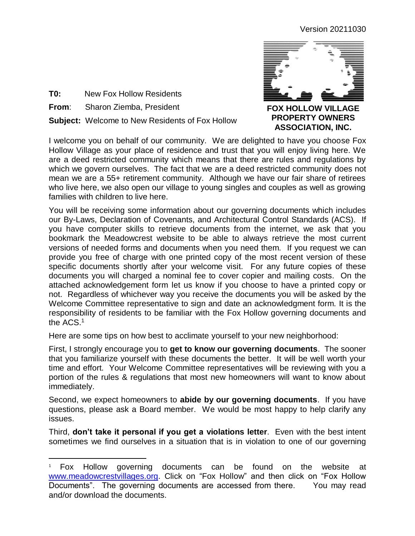Version 20211030



- **T0:** New Fox Hollow Residents
- **From**: Sharon Ziemba, President

 $\overline{a}$ 

**Subject:** Welcome to New Residents of Fox Hollow

**FOX HOLLOW VILLAGE PROPERTY OWNERS ASSOCIATION, INC.**

I welcome you on behalf of our community. We are delighted to have you choose Fox Hollow Village as your place of residence and trust that you will enjoy living here. We are a deed restricted community which means that there are rules and regulations by which we govern ourselves. The fact that we are a deed restricted community does not mean we are a 55+ retirement community. Although we have our fair share of retirees who live here, we also open our village to young singles and couples as well as growing families with children to live here.

You will be receiving some information about our governing documents which includes our By-Laws, Declaration of Covenants, and Architectural Control Standards (ACS). If you have computer skills to retrieve documents from the internet, we ask that you bookmark the Meadowcrest website to be able to always retrieve the most current versions of needed forms and documents when you need them. If you request we can provide you free of charge with one printed copy of the most recent version of these specific documents shortly after your welcome visit. For any future copies of these documents you will charged a nominal fee to cover copier and mailing costs. On the attached acknowledgement form let us know if you choose to have a printed copy or not. Regardless of whichever way you receive the documents you will be asked by the Welcome Committee representative to sign and date an acknowledgment form. It is the responsibility of residents to be familiar with the Fox Hollow governing documents and the ACS. 1

Here are some tips on how best to acclimate yourself to your new neighborhood:

First, I strongly encourage you to **get to know our governing documents**. The sooner that you familiarize yourself with these documents the better. It will be well worth your time and effort. Your Welcome Committee representatives will be reviewing with you a portion of the rules & regulations that most new homeowners will want to know about immediately.

Second, we expect homeowners to **abide by our governing documents**. If you have questions, please ask a Board member. We would be most happy to help clarify any issues.

Third, **don't take it personal if you get a violations letter**. Even with the best intent sometimes we find ourselves in a situation that is in violation to one of our governing

<sup>&</sup>lt;sup>1</sup> Fox Hollow governing documents can be found on the website at [www.meadowcrestvillages.org.](www.meadowcrestvillages.org) Click on "Fox Hollow" and then click on "Fox Hollow Documents". The governing documents are accessed from there. You may read and/or download the documents.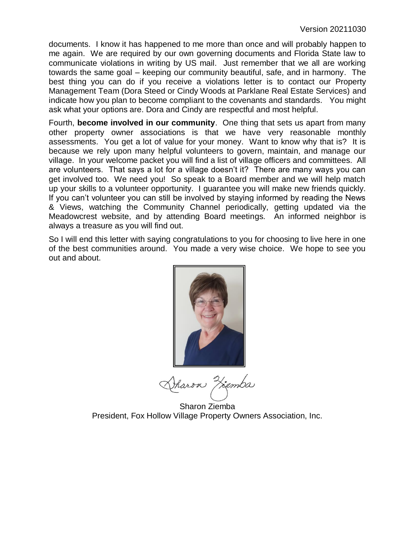documents. I know it has happened to me more than once and will probably happen to me again. We are required by our own governing documents and Florida State law to communicate violations in writing by US mail. Just remember that we all are working towards the same goal – keeping our community beautiful, safe, and in harmony. The best thing you can do if you receive a violations letter is to contact our Property Management Team (Dora Steed or Cindy Woods at Parklane Real Estate Services) and indicate how you plan to become compliant to the covenants and standards. You might ask what your options are. Dora and Cindy are respectful and most helpful.

Fourth, **become involved in our community**. One thing that sets us apart from many other property owner associations is that we have very reasonable monthly assessments. You get a lot of value for your money. Want to know why that is? It is because we rely upon many helpful volunteers to govern, maintain, and manage our village. In your welcome packet you will find a list of village officers and committees. All are volunteers. That says a lot for a village doesn't it? There are many ways you can get involved too. We need you! So speak to a Board member and we will help match up your skills to a volunteer opportunity. I guarantee you will make new friends quickly. If you can't volunteer you can still be involved by staying informed by reading the News & Views, watching the Community Channel periodically, getting updated via the Meadowcrest website, and by attending Board meetings. An informed neighbor is always a treasure as you will find out.

So I will end this letter with saying congratulations to you for choosing to live here in one of the best communities around. You made a very wise choice. We hope to see you out and about.



Viemba haroa

Sharon Ziemba President, Fox Hollow Village Property Owners Association, Inc.